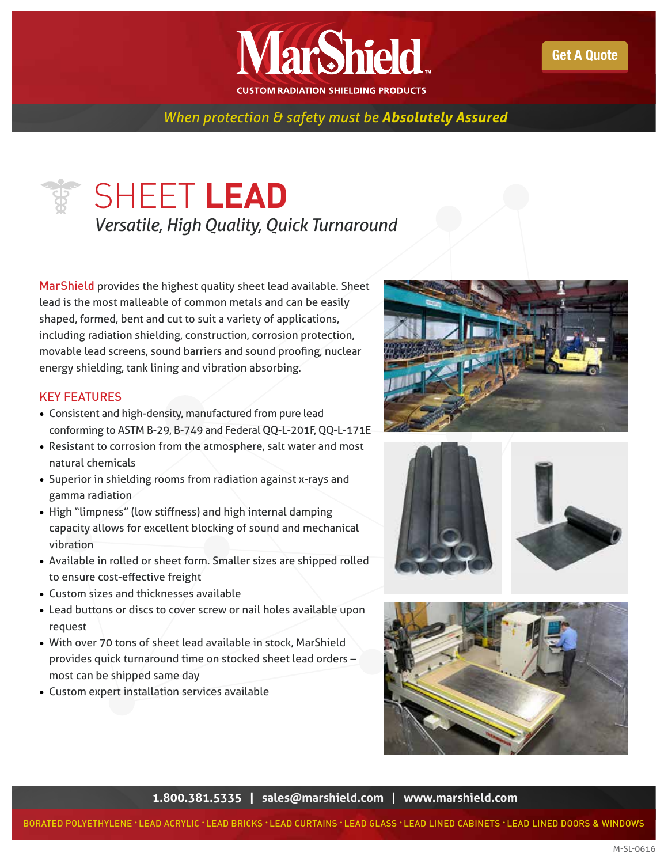

*When protection & safety must be Absolutely Assured* 

## SHEET **LEAD** *Versatile, High Quality, Quick Turnaround*

MarShield provides the highest quality sheet lead available. Sheet lead is the most malleable of common metals and can be easily shaped, formed, bent and cut to suit a variety of applications, including radiation shielding, construction, corrosion protection, movable lead screens, sound barriers and sound proofing, nuclear energy shielding, tank lining and vibration absorbing.

## KEY FEATURES

- Consistent and high-density, manufactured from pure lead conforming to ASTM B-29, B-749 and Federal QQ-L-201F, QQ-L-171E
- Resistant to corrosion from the atmosphere, salt water and most natural chemicals
- Superior in shielding rooms from radiation against x-rays and gamma radiation
- High "limpness" (low stiffness) and high internal damping capacity allows for excellent blocking of sound and mechanical vibration
- Available in rolled or sheet form. Smaller sizes are shipped rolled to ensure cost-effective freight
- Custom sizes and thicknesses available
- Lead buttons or discs to cover screw or nail holes available upon request
- With over 70 tons of sheet lead available in stock, MarShield provides quick turnaround time on stocked sheet lead orders – most can be shipped same day
- Custom expert installation services available







**1.800.381.5335 | [sales@marshield.com](http://marshield.com/marshield-email/) | [www.marshield.com](http://www.marshield.com)**

BORATED POLYETHYLENE • LEAD ACRYLIC • LEAD BRICKS • LEAD CURTAINS • LEAD GLASS • LEAD LINED CABINETS • LEAD LINED DOORS & WINDOWS